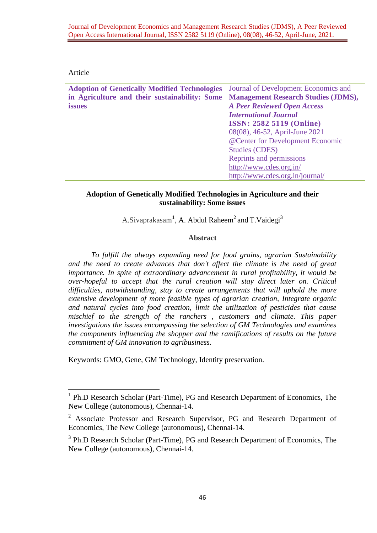### Article

1

| <b>Adoption of Genetically Modified Technologies</b> | Journal of Development Economics and       |
|------------------------------------------------------|--------------------------------------------|
| in Agriculture and their sustainability: Some        | <b>Management Research Studies (JDMS),</b> |
| <b>issues</b>                                        | <b>A Peer Reviewed Open Access</b>         |
|                                                      | <b>International Journal</b>               |
|                                                      | <b>ISSN: 2582 5119 (Online)</b>            |
|                                                      | 08(08), 46-52, April-June 2021             |
|                                                      | @Center for Development Economic           |
|                                                      | <b>Studies (CDES)</b>                      |
|                                                      | Reprints and permissions                   |
|                                                      | http://www.cdes.org.in/                    |
|                                                      | http://www.cdes.org.in/journal/            |
|                                                      |                                            |

## **Adoption of Genetically Modified Technologies in Agriculture and their sustainability: Some issues**

A.Sivaprakasam<sup>1</sup>, A. Abdul Raheem<sup>2</sup> and T.Vaidegi<sup>3</sup>

## **Abstract**

*To fulfill the always expanding need for food grains, agrarian Sustainability and the need to create advances that don't affect the climate is the need of great importance. In spite of extraordinary advancement in rural profitability, it would be over-hopeful to accept that the rural creation will stay direct later on. Critical difficulties, notwithstanding, stay to create arrangements that will uphold the more extensive development of more feasible types of agrarian creation, Integrate organic and natural cycles into food creation, limit the utilization of pesticides that cause mischief to the strength of the ranchers , customers and climate. This paper investigations the issues encompassing the selection of GM Technologies and examines the components influencing the shopper and the ramifications of results on the future commitment of GM innovation to agribusiness.*

Keywords: GMO, Gene, GM Technology, Identity preservation.

<sup>&</sup>lt;sup>1</sup> Ph.D Research Scholar (Part-Time), PG and Research Department of Economics, The New College (autonomous), Chennai-14.

<sup>2</sup> Associate Professor and Research Supervisor, PG and Research Department of Economics, The New College (autonomous), Chennai-14.

<sup>&</sup>lt;sup>3</sup> Ph.D Research Scholar (Part-Time), PG and Research Department of Economics, The New College (autonomous), Chennai-14.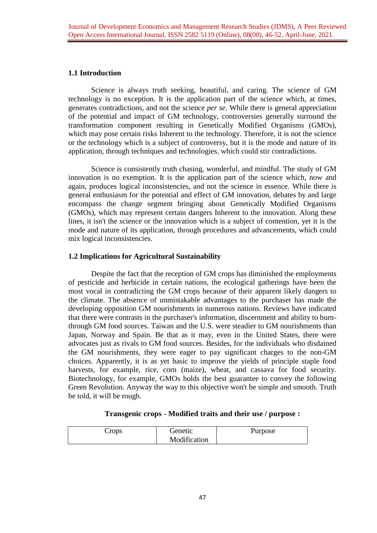# **1.1 Introduction**

Science is always truth seeking, beautiful, and caring. The science of GM technology is no exception. It is the application part of the science which, at times, generates contradictions, and not the science *per se*. While there is general appreciation of the potential and impact of GM technology, controversies generally surround the transformation component resulting in Genetically Modified Organisms (GMOs), which may pose certain risks Inherent to the technology. Therefore, it is not the science or the technology which is a subject of controversy, but it is the mode and nature of its application, through techniques and technologies, which could stir contradictions.

Science is consistently truth chasing, wonderful, and mindful. The study of GM innovation is no exemption. It is the application part of the science which, now and again, produces logical inconsistencies, and not the science in essence. While there is general enthusiasm for the potential and effect of GM innovation, debates by and large encompass the change segment bringing about Genetically Modified Organisms (GMOs), which may represent certain dangers Inherent to the innovation. Along these lines, it isn't the science or the innovation which is a subject of contention, yet it is the mode and nature of its application, through procedures and advancements, which could mix logical inconsistencies.

# **1.2 Implications for Agricultural Sustainability**

Despite the fact that the reception of GM crops has diminished the employments of pesticide and herbicide in certain nations, the ecological gatherings have been the most vocal in contradicting the GM crops because of their apparent likely dangers to the climate. The absence of unmistakable advantages to the purchaser has made the developing opposition GM nourishments in numerous nations. Reviews have indicated that there were contrasts in the purchaser's information, discernment and ability to burnthrough GM food sources. Taiwan and the U.S. were steadier to GM nourishments than Japan, Norway and Spain. Be that as it may, even in the United States, there were advocates just as rivals to GM food sources. Besides, for the individuals who disdained the GM nourishments, they were eager to pay significant charges to the non-GM choices. Apparently, it is as yet basic to improve the yields of principle staple food harvests, for example, rice, corn (maize), wheat, and cassava for food security. Biotechnology, for example, GMOs holds the best guarantee to convey the following Green Revolution. Anyway the way to this objective won't be simple and smooth. Truth be told, it will be rough.

#### **Transgenic crops - Modified traits and their use / purpose :**

| Crops | Genetic      | Purpose |
|-------|--------------|---------|
|       | Modification |         |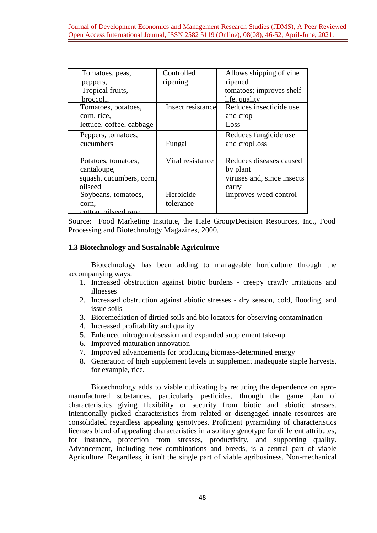| Tomatoes, peas,          | Controlled        | Allows shipping of vine.   |
|--------------------------|-------------------|----------------------------|
| peppers,                 | ripening          | ripened                    |
| Tropical fruits,         |                   | tomatoes; improves shelf   |
| broccoli.                |                   | life, quality              |
| Tomatoes, potatoes,      | Insect resistance | Reduces insecticide use    |
| corn, rice,              |                   | and crop                   |
| lettuce, coffee, cabbage |                   | Loss                       |
| Peppers, tomatoes,       |                   | Reduces fungicide use      |
| cucumbers                | Fungal            | and cropLoss               |
|                          |                   |                            |
| Potatoes, tomatoes,      | Viral resistance  | Reduces diseases caused    |
| cantaloupe,              |                   | by plant                   |
| squash, cucumbers, corn, |                   | viruses and, since insects |
| oilseed                  |                   | carry                      |
| Soybeans, tomatoes,      | Herbicide         | Improves weed control      |
| corn.                    | tolerance         |                            |
| cotton oilseed rane      |                   |                            |

Source: Food Marketing Institute, the Hale Group/Decision Resources, Inc., Food Processing and Biotechnology Magazines, 2000.

## 1.3 Biotechnology and Sustainable Agriculture

Biotechnology has been adding to manageable horticulture through the accompanying ways:

- 1. Increased obstruction against biotic burdens creepy crawly irritations and illnesses
- 2. Increased obstruction against abiotic stresses dry season, cold, flooding, and issue soils
- 3. Bioremediation of dirtied soils and bio locators for observing contamination
- 4. Increased profitability and quality
- 5. Enhanced nitrogen obsession and expanded supplement take-up
- 6. Improved maturation innovation
- 7. Improved advancements for producing biomass-determined energy
- 8. Generation of high supplement levels in supplement inadequate staple harvests, for example, rice.

Biotechnology adds to viable cultivating by reducing the dependence on agromanufactured substances, particularly pesticides, through the game plan of characteristics giving flexibility or security from biotic and abiotic stresses. Intentionally picked characteristics from related or disengaged innate resources are consolidated regardless appealing genotypes. Proficient pyramiding of characteristics licenses blend of appealing characteristics in a solitary genotype for different attributes, for instance, protection from stresses, productivity, and supporting quality. Advancement, including new combinations and breeds, is a central part of viable Agriculture. Regardless, it isn't the single part of viable agribusiness. Non-mechanical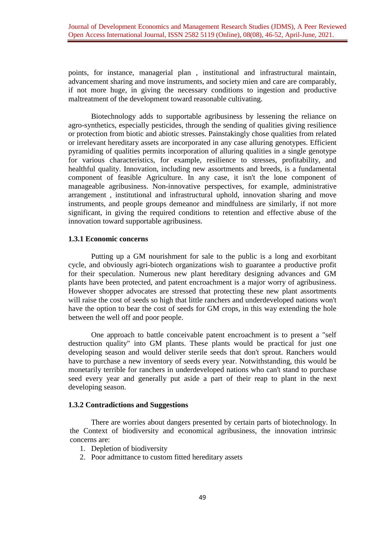points, for instance, managerial plan , institutional and infrastructural maintain, advancement sharing and move instruments, and society mien and care are comparably, if not more huge, in giving the necessary conditions to ingestion and productive maltreatment of the development toward reasonable cultivating.

Biotechnology adds to supportable agribusiness by lessening the reliance on agro-synthetics, especially pesticides, through the sending of qualities giving resilience or protection from biotic and abiotic stresses. Painstakingly chose qualities from related or irrelevant hereditary assets are incorporated in any case alluring genotypes. Efficient pyramiding of qualities permits incorporation of alluring qualities in a single genotype for various characteristics, for example, resilience to stresses, profitability, and healthful quality. Innovation, including new assortments and breeds, is a fundamental component of feasible Agriculture. In any case, it isn't the lone component of manageable agribusiness. Non-innovative perspectives, for example, administrative arrangement , institutional and infrastructural uphold, innovation sharing and move instruments, and people groups demeanor and mindfulness are similarly, if not more significant, in giving the required conditions to retention and effective abuse of the innovation toward supportable agribusiness.

### **1.3.1 Economic concerns**

Putting up a GM nourishment for sale to the public is a long and exorbitant cycle, and obviously agri-biotech organizations wish to guarantee a productive profit for their speculation. Numerous new plant hereditary designing advances and GM plants have been protected, and patent encroachment is a major worry of agribusiness. However shopper advocates are stressed that protecting these new plant assortments will raise the cost of seeds so high that little ranchers and underdeveloped nations won't have the option to bear the cost of seeds for GM crops, in this way extending the hole between the well off and poor people.

One approach to battle conceivable patent encroachment is to present a "self destruction quality" into GM plants. These plants would be practical for just one developing season and would deliver sterile seeds that don't sprout. Ranchers would have to purchase a new inventory of seeds every year. Notwithstanding, this would be monetarily terrible for ranchers in underdeveloped nations who can't stand to purchase seed every year and generally put aside a part of their reap to plant in the next developing season.

#### **1.3.2 Contradictions and Suggestions**

There are worries about dangers presented by certain parts of biotechnology. In the Context of biodiversity and economical agribusiness, the innovation intrinsic concerns are:

- 1. Depletion of biodiversity
- 2. Poor admittance to custom fitted hereditary assets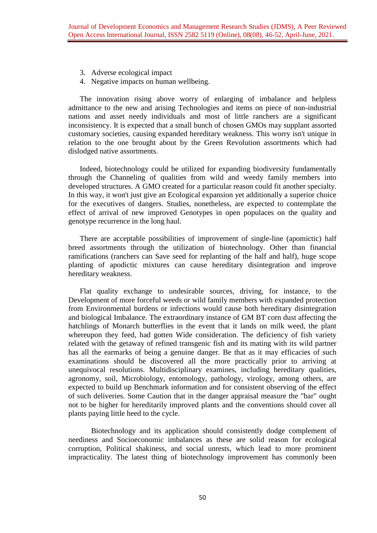- 3. Adverse ecological impact
- 4. Negative impacts on human wellbeing.

The innovation rising above worry of enlarging of imbalance and helpless admittance to the new and arising Technologies and items on piece of non-industrial nations and asset needy individuals and most of little ranchers are a significant inconsistency. It is expected that a small bunch of chosen GMOs may supplant assorted customary societies, causing expanded hereditary weakness. This worry isn't unique in relation to the one brought about by the Green Revolution assortments which had dislodged native assortments.

Indeed, biotechnology could be utilized for expanding biodiversity fundamentally through the Channeling of qualities from wild and weedy family members into developed structures. A GMO created for a particular reason could fit another specialty. In this way, it won't just give an Ecological expansion yet additionally a superior choice for the executives of dangers. Studies, nonetheless, are expected to contemplate the effect of arrival of new improved Genotypes in open populaces on the quality and genotype recurrence in the long haul.

There are acceptable possibilities of improvement of single-line (apomictic) half breed assortments through the utilization of biotechnology. Other than financial ramifications (ranchers can Save seed for replanting of the half and half), huge scope planting of apodictic mixtures can cause hereditary disintegration and improve hereditary weakness.

Flat quality exchange to undesirable sources, driving, for instance, to the Development of more forceful weeds or wild family members with expanded protection from Environmental burdens or infections would cause both hereditary disintegration and biological Imbalance. The extraordinary instance of GM BT corn dust affecting the hatchlings of Monarch butterflies in the event that it lands on milk weed, the plant whereupon they feed, had gotten Wide consideration. The deficiency of fish variety related with the getaway of refined transgenic fish and its mating with its wild partner has all the earmarks of being a genuine danger. Be that as it may efficacies of such examinations should be discovered all the more practically prior to arriving at unequivocal resolutions. Multidisciplinary examines, including hereditary qualities, agronomy, soil, Microbiology, entomology, pathology, virology, among others, are expected to build up Benchmark information and for consistent observing of the effect of such deliveries. Some Caution that in the danger appraisal measure the "bar" ought not to be higher for hereditarily improved plants and the conventions should cover all plants paying little heed to the cycle.

Biotechnology and its application should consistently dodge complement of neediness and Socioeconomic imbalances as these are solid reason for ecological corruption, Political shakiness, and social unrests, which lead to more prominent impracticality. The latest thing of biotechnology improvement has commonly been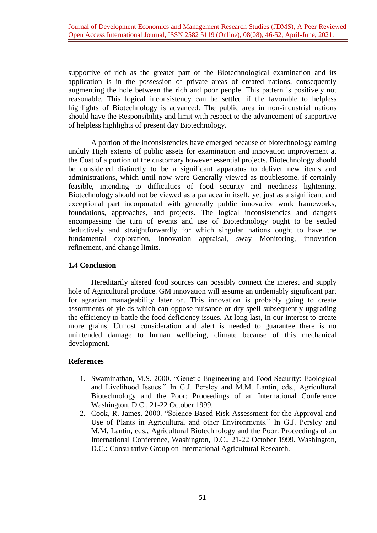supportive of rich as the greater part of the Biotechnological examination and its application is in the possession of private areas of created nations, consequently augmenting the hole between the rich and poor people. This pattern is positively not reasonable. This logical inconsistency can be settled if the favorable to helpless highlights of Biotechnology is advanced. The public area in non-industrial nations should have the Responsibility and limit with respect to the advancement of supportive of helpless highlights of present day Biotechnology.

A portion of the inconsistencies have emerged because of biotechnology earning unduly High extents of public assets for examination and innovation improvement at the Cost of a portion of the customary however essential projects. Biotechnology should be considered distinctly to be a significant apparatus to deliver new items and administrations, which until now were Generally viewed as troublesome, if certainly feasible, intending to difficulties of food security and neediness lightening. Biotechnology should not be viewed as a panacea in itself, yet just as a significant and exceptional part incorporated with generally public innovative work frameworks, foundations, approaches, and projects. The logical inconsistencies and dangers encompassing the turn of events and use of Biotechnology ought to be settled deductively and straightforwardly for which singular nations ought to have the fundamental exploration, innovation appraisal, sway Monitoring, innovation refinement, and change limits.

## **1.4 Conclusion**

Hereditarily altered food sources can possibly connect the interest and supply hole of Agricultural produce. GM innovation will assume an undeniably significant part for agrarian manageability later on. This innovation is probably going to create assortments of yields which can oppose nuisance or dry spell subsequently upgrading the efficiency to battle the food deficiency issues. At long last, in our interest to create more grains, Utmost consideration and alert is needed to guarantee there is no unintended damage to human wellbeing, climate because of this mechanical development.

#### **References**

- 1. Swaminathan, M.S. 2000. "Genetic Engineering and Food Security: Ecological and Livelihood Issues." In G.J. Persley and M.M. Lantin, eds., Agricultural Biotechnology and the Poor: Proceedings of an International Conference Washington, D.C., 21-22 October 1999.
- 2. Cook, R. James. 2000. "Science-Based Risk Assessment for the Approval and Use of Plants in Agricultural and other Environments." In G.J. Persley and M.M. Lantin, eds., Agricultural Biotechnology and the Poor: Proceedings of an International Conference, Washington, D.C., 21-22 October 1999. Washington, D.C.: Consultative Group on International Agricultural Research.